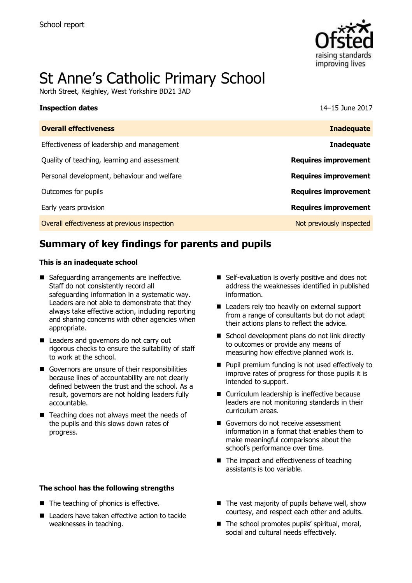

# St Anne's Catholic Primary School

North Street, Keighley, West Yorkshire BD21 3AD

#### **Inspection dates** 14–15 June 2017

| <b>Overall effectiveness</b>                 | <b>Inadequate</b>           |
|----------------------------------------------|-----------------------------|
| Effectiveness of leadership and management   | <b>Inadequate</b>           |
| Quality of teaching, learning and assessment | <b>Requires improvement</b> |
| Personal development, behaviour and welfare  | <b>Requires improvement</b> |
| Outcomes for pupils                          | <b>Requires improvement</b> |
| Early years provision                        | <b>Requires improvement</b> |
| Overall effectiveness at previous inspection | Not previously inspected    |
|                                              |                             |

# **Summary of key findings for parents and pupils**

#### **This is an inadequate school**

- Safeguarding arrangements are ineffective. Staff do not consistently record all safeguarding information in a systematic way. Leaders are not able to demonstrate that they always take effective action, including reporting and sharing concerns with other agencies when appropriate.
- Leaders and governors do not carry out rigorous checks to ensure the suitability of staff to work at the school.
- Governors are unsure of their responsibilities because lines of accountability are not clearly defined between the trust and the school. As a result, governors are not holding leaders fully accountable.
- $\blacksquare$  Teaching does not always meet the needs of the pupils and this slows down rates of progress.

#### **The school has the following strengths**

- The teaching of phonics is effective.
- Leaders have taken effective action to tackle weaknesses in teaching.
- Self-evaluation is overly positive and does not address the weaknesses identified in published information.
- Leaders rely too heavily on external support from a range of consultants but do not adapt their actions plans to reflect the advice.
- School development plans do not link directly to outcomes or provide any means of measuring how effective planned work is.
- **Pupil premium funding is not used effectively to** improve rates of progress for those pupils it is intended to support.
- Curriculum leadership is ineffective because leaders are not monitoring standards in their curriculum areas.
- Governors do not receive assessment information in a format that enables them to make meaningful comparisons about the school's performance over time.
- The impact and effectiveness of teaching assistants is too variable.
- $\blacksquare$  The vast majority of pupils behave well, show courtesy, and respect each other and adults.
- The school promotes pupils' spiritual, moral, social and cultural needs effectively.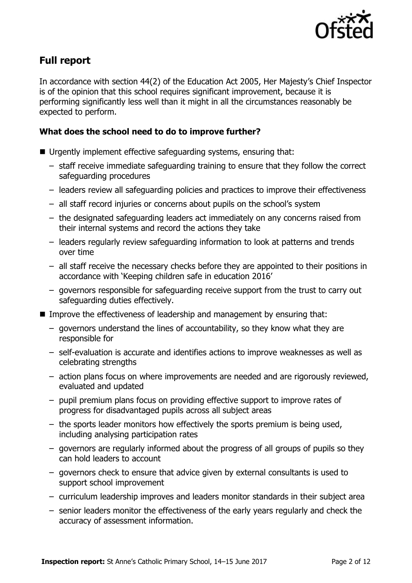

## **Full report**

In accordance with section 44(2) of the Education Act 2005, Her Majesty's Chief Inspector is of the opinion that this school requires significant improvement, because it is performing significantly less well than it might in all the circumstances reasonably be expected to perform.

### **What does the school need to do to improve further?**

- Urgently implement effective safeguarding systems, ensuring that:
	- staff receive immediate safeguarding training to ensure that they follow the correct safeguarding procedures
	- leaders review all safeguarding policies and practices to improve their effectiveness
	- all staff record injuries or concerns about pupils on the school's system
	- the designated safeguarding leaders act immediately on any concerns raised from their internal systems and record the actions they take
	- leaders regularly review safeguarding information to look at patterns and trends over time
	- all staff receive the necessary checks before they are appointed to their positions in accordance with 'Keeping children safe in education 2016'
	- governors responsible for safeguarding receive support from the trust to carry out safeguarding duties effectively.
- Improve the effectiveness of leadership and management by ensuring that:
	- governors understand the lines of accountability, so they know what they are responsible for
	- self-evaluation is accurate and identifies actions to improve weaknesses as well as celebrating strengths
	- action plans focus on where improvements are needed and are rigorously reviewed, evaluated and updated
	- pupil premium plans focus on providing effective support to improve rates of progress for disadvantaged pupils across all subject areas
	- the sports leader monitors how effectively the sports premium is being used, including analysing participation rates
	- governors are regularly informed about the progress of all groups of pupils so they can hold leaders to account
	- governors check to ensure that advice given by external consultants is used to support school improvement
	- curriculum leadership improves and leaders monitor standards in their subject area
	- senior leaders monitor the effectiveness of the early years regularly and check the accuracy of assessment information.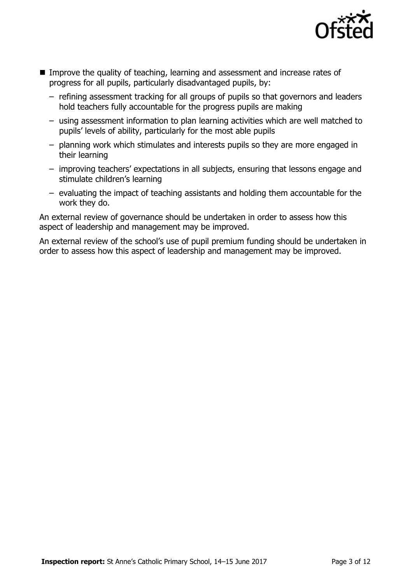

- **IMPROVE the quality of teaching, learning and assessment and increase rates of** progress for all pupils, particularly disadvantaged pupils, by:
	- refining assessment tracking for all groups of pupils so that governors and leaders hold teachers fully accountable for the progress pupils are making
	- using assessment information to plan learning activities which are well matched to pupils' levels of ability, particularly for the most able pupils
	- planning work which stimulates and interests pupils so they are more engaged in their learning
	- improving teachers' expectations in all subjects, ensuring that lessons engage and stimulate children's learning
	- evaluating the impact of teaching assistants and holding them accountable for the work they do.

An external review of governance should be undertaken in order to assess how this aspect of leadership and management may be improved.

An external review of the school's use of pupil premium funding should be undertaken in order to assess how this aspect of leadership and management may be improved.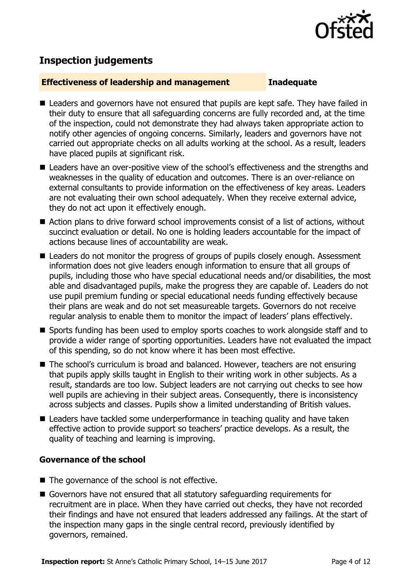

# **Inspection judgements**

#### **Effectiveness of leadership and management Inadequate**

- Leaders and governors have not ensured that pupils are kept safe. They have failed in their duty to ensure that all safeguarding concerns are fully recorded and, at the time of the inspection, could not demonstrate they had always taken appropriate action to notify other agencies of ongoing concerns. Similarly, leaders and governors have not carried out appropriate checks on all adults working at the school. As a result, leaders have placed pupils at significant risk.
- Leaders have an over-positive view of the school's effectiveness and the strengths and weaknesses in the quality of education and outcomes. There is an over-reliance on external consultants to provide information on the effectiveness of key areas. Leaders are not evaluating their own school adequately. When they receive external advice, they do not act upon it effectively enough.
- Action plans to drive forward school improvements consist of a list of actions, without succinct evaluation or detail. No one is holding leaders accountable for the impact of actions because lines of accountability are weak.
- Leaders do not monitor the progress of groups of pupils closely enough. Assessment information does not give leaders enough information to ensure that all groups of pupils, including those who have special educational needs and/or disabilities, the most able and disadvantaged pupils, make the progress they are capable of. Leaders do not use pupil premium funding or special educational needs funding effectively because their plans are weak and do not set measureable targets. Governors do not receive regular analysis to enable them to monitor the impact of leaders' plans effectively.
- Sports funding has been used to employ sports coaches to work alongside staff and to provide a wider range of sporting opportunities. Leaders have not evaluated the impact of this spending, so do not know where it has been most effective.
- The school's curriculum is broad and balanced. However, teachers are not ensuring that pupils apply skills taught in English to their writing work in other subjects. As a result, standards are too low. Subject leaders are not carrying out checks to see how well pupils are achieving in their subject areas. Consequently, there is inconsistency across subjects and classes. Pupils show a limited understanding of British values.
- Leaders have tackled some underperformance in teaching quality and have taken effective action to provide support so teachers' practice develops. As a result, the quality of teaching and learning is improving.

### **Governance of the school**

- $\blacksquare$  The governance of the school is not effective.
- Governors have not ensured that all statutory safeguarding requirements for recruitment are in place. When they have carried out checks, they have not recorded their findings and have not ensured that leaders addressed any failings. At the start of the inspection many gaps in the single central record, previously identified by governors, remained.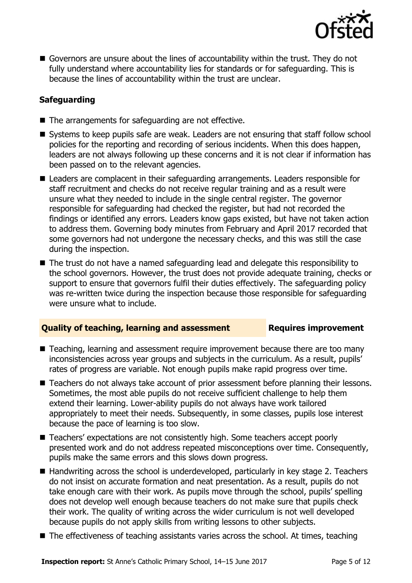

■ Governors are unsure about the lines of accountability within the trust. They do not fully understand where accountability lies for standards or for safeguarding. This is because the lines of accountability within the trust are unclear.

### **Safeguarding**

- $\blacksquare$  The arrangements for safeguarding are not effective.
- Systems to keep pupils safe are weak. Leaders are not ensuring that staff follow school policies for the reporting and recording of serious incidents. When this does happen, leaders are not always following up these concerns and it is not clear if information has been passed on to the relevant agencies.
- Leaders are complacent in their safeguarding arrangements. Leaders responsible for staff recruitment and checks do not receive regular training and as a result were unsure what they needed to include in the single central register. The governor responsible for safeguarding had checked the register, but had not recorded the findings or identified any errors. Leaders know gaps existed, but have not taken action to address them. Governing body minutes from February and April 2017 recorded that some governors had not undergone the necessary checks, and this was still the case during the inspection.
- The trust do not have a named safeguarding lead and delegate this responsibility to the school governors. However, the trust does not provide adequate training, checks or support to ensure that governors fulfil their duties effectively. The safeguarding policy was re-written twice during the inspection because those responsible for safeguarding were unsure what to include.

#### **Quality of teaching, learning and assessment France Requires improvement**

- Teaching, learning and assessment require improvement because there are too many inconsistencies across year groups and subjects in the curriculum. As a result, pupils' rates of progress are variable. Not enough pupils make rapid progress over time.
- Teachers do not always take account of prior assessment before planning their lessons. Sometimes, the most able pupils do not receive sufficient challenge to help them extend their learning. Lower-ability pupils do not always have work tailored appropriately to meet their needs. Subsequently, in some classes, pupils lose interest because the pace of learning is too slow.
- Teachers' expectations are not consistently high. Some teachers accept poorly presented work and do not address repeated misconceptions over time. Consequently, pupils make the same errors and this slows down progress.
- Handwriting across the school is underdeveloped, particularly in key stage 2. Teachers do not insist on accurate formation and neat presentation. As a result, pupils do not take enough care with their work. As pupils move through the school, pupils' spelling does not develop well enough because teachers do not make sure that pupils check their work. The quality of writing across the wider curriculum is not well developed because pupils do not apply skills from writing lessons to other subjects.
- The effectiveness of teaching assistants varies across the school. At times, teaching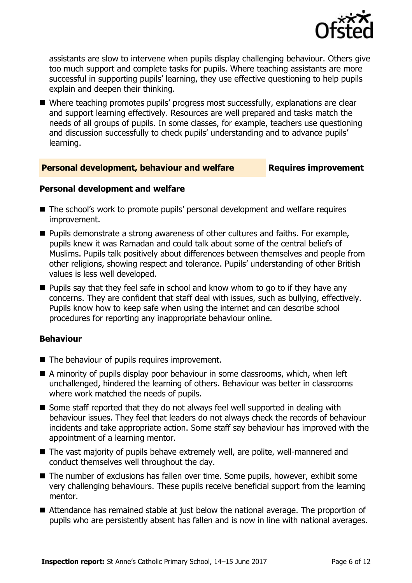

assistants are slow to intervene when pupils display challenging behaviour. Others give too much support and complete tasks for pupils. Where teaching assistants are more successful in supporting pupils' learning, they use effective questioning to help pupils explain and deepen their thinking.

 Where teaching promotes pupils' progress most successfully, explanations are clear and support learning effectively. Resources are well prepared and tasks match the needs of all groups of pupils. In some classes, for example, teachers use questioning and discussion successfully to check pupils' understanding and to advance pupils' learning.

#### **Personal development, behaviour and welfare Requires improvement**

#### **Personal development and welfare**

- The school's work to promote pupils' personal development and welfare requires improvement.
- $\blacksquare$  Pupils demonstrate a strong awareness of other cultures and faiths. For example, pupils knew it was Ramadan and could talk about some of the central beliefs of Muslims. Pupils talk positively about differences between themselves and people from other religions, showing respect and tolerance. Pupils' understanding of other British values is less well developed.
- $\blacksquare$  Pupils say that they feel safe in school and know whom to go to if they have any concerns. They are confident that staff deal with issues, such as bullying, effectively. Pupils know how to keep safe when using the internet and can describe school procedures for reporting any inappropriate behaviour online.

### **Behaviour**

- The behaviour of pupils requires improvement.
- A minority of pupils display poor behaviour in some classrooms, which, when left unchallenged, hindered the learning of others. Behaviour was better in classrooms where work matched the needs of pupils.
- Some staff reported that they do not always feel well supported in dealing with behaviour issues. They feel that leaders do not always check the records of behaviour incidents and take appropriate action. Some staff say behaviour has improved with the appointment of a learning mentor.
- The vast majority of pupils behave extremely well, are polite, well-mannered and conduct themselves well throughout the day.
- The number of exclusions has fallen over time. Some pupils, however, exhibit some very challenging behaviours. These pupils receive beneficial support from the learning mentor.
- Attendance has remained stable at just below the national average. The proportion of pupils who are persistently absent has fallen and is now in line with national averages.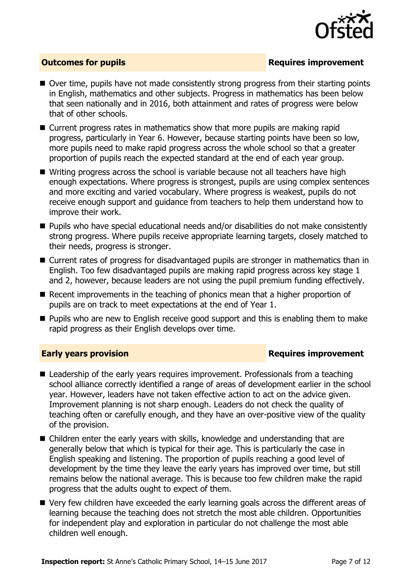

### **Outcomes for pupils Requires improvement**

- Over time, pupils have not made consistently strong progress from their starting points in English, mathematics and other subjects. Progress in mathematics has been below that seen nationally and in 2016, both attainment and rates of progress were below that of other schools.
- Current progress rates in mathematics show that more pupils are making rapid progress, particularly in Year 6. However, because starting points have been so low, more pupils need to make rapid progress across the whole school so that a greater proportion of pupils reach the expected standard at the end of each year group.
- Writing progress across the school is variable because not all teachers have high enough expectations. Where progress is strongest, pupils are using complex sentences and more exciting and varied vocabulary. Where progress is weakest, pupils do not receive enough support and guidance from teachers to help them understand how to improve their work.
- Pupils who have special educational needs and/or disabilities do not make consistently strong progress. Where pupils receive appropriate learning targets, closely matched to their needs, progress is stronger.
- Current rates of progress for disadvantaged pupils are stronger in mathematics than in English. Too few disadvantaged pupils are making rapid progress across key stage 1 and 2, however, because leaders are not using the pupil premium funding effectively.
- Recent improvements in the teaching of phonics mean that a higher proportion of pupils are on track to meet expectations at the end of Year 1.
- **Pupils who are new to English receive good support and this is enabling them to make** rapid progress as their English develops over time.

#### **Early years provision Requires improvement**

- Leadership of the early years requires improvement. Professionals from a teaching school alliance correctly identified a range of areas of development earlier in the school year. However, leaders have not taken effective action to act on the advice given. Improvement planning is not sharp enough. Leaders do not check the quality of teaching often or carefully enough, and they have an over-positive view of the quality of the provision.
- Children enter the early years with skills, knowledge and understanding that are generally below that which is typical for their age. This is particularly the case in English speaking and listening. The proportion of pupils reaching a good level of development by the time they leave the early years has improved over time, but still remains below the national average. This is because too few children make the rapid progress that the adults ought to expect of them.
- Very few children have exceeded the early learning goals across the different areas of learning because the teaching does not stretch the most able children. Opportunities for independent play and exploration in particular do not challenge the most able children well enough.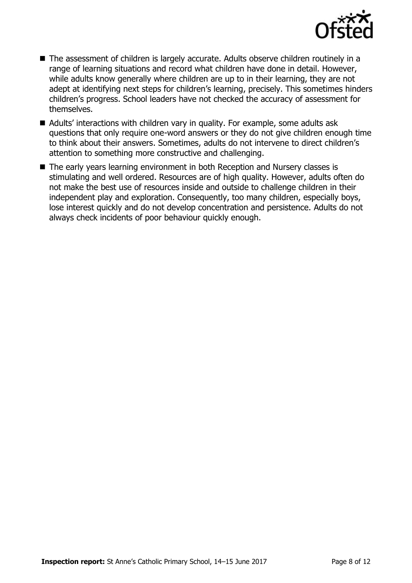

- The assessment of children is largely accurate. Adults observe children routinely in a range of learning situations and record what children have done in detail. However, while adults know generally where children are up to in their learning, they are not adept at identifying next steps for children's learning, precisely. This sometimes hinders children's progress. School leaders have not checked the accuracy of assessment for themselves.
- Adults' interactions with children vary in quality. For example, some adults ask questions that only require one-word answers or they do not give children enough time to think about their answers. Sometimes, adults do not intervene to direct children's attention to something more constructive and challenging.
- The early years learning environment in both Reception and Nursery classes is stimulating and well ordered. Resources are of high quality. However, adults often do not make the best use of resources inside and outside to challenge children in their independent play and exploration. Consequently, too many children, especially boys, lose interest quickly and do not develop concentration and persistence. Adults do not always check incidents of poor behaviour quickly enough.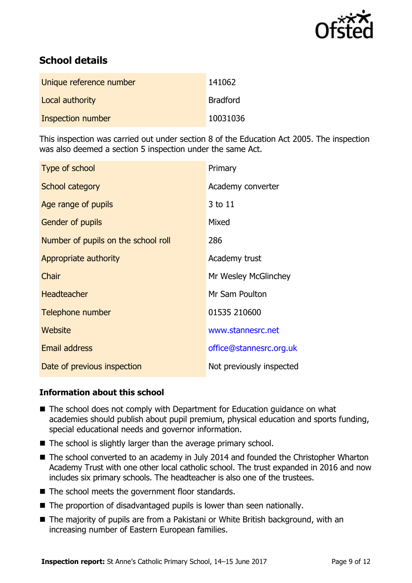

# **School details**

| Unique reference number | 141062          |
|-------------------------|-----------------|
| Local authority         | <b>Bradford</b> |
| Inspection number       | 10031036        |

This inspection was carried out under section 8 of the Education Act 2005. The inspection was also deemed a section 5 inspection under the same Act.

| <b>Type of school</b>               | Primary                  |
|-------------------------------------|--------------------------|
| School category                     | Academy converter        |
| Age range of pupils                 | 3 to 11                  |
| <b>Gender of pupils</b>             | Mixed                    |
| Number of pupils on the school roll | 286                      |
| Appropriate authority               | Academy trust            |
| Chair                               | Mr Wesley McGlinchey     |
| <b>Headteacher</b>                  | Mr Sam Poulton           |
| Telephone number                    | 01535 210600             |
| Website                             | www.stannesrc.net        |
| <b>Email address</b>                | office@stannesrc.org.uk  |
| Date of previous inspection         | Not previously inspected |

#### **Information about this school**

- The school does not comply with Department for Education guidance on what academies should publish about pupil premium, physical education and sports funding, special educational needs and governor information.
- The school is slightly larger than the average primary school.
- The school converted to an academy in July 2014 and founded the Christopher Wharton Academy Trust with one other local catholic school. The trust expanded in 2016 and now includes six primary schools. The headteacher is also one of the trustees.
- The school meets the government floor standards.
- The proportion of disadvantaged pupils is lower than seen nationally.
- The majority of pupils are from a Pakistani or White British background, with an increasing number of Eastern European families.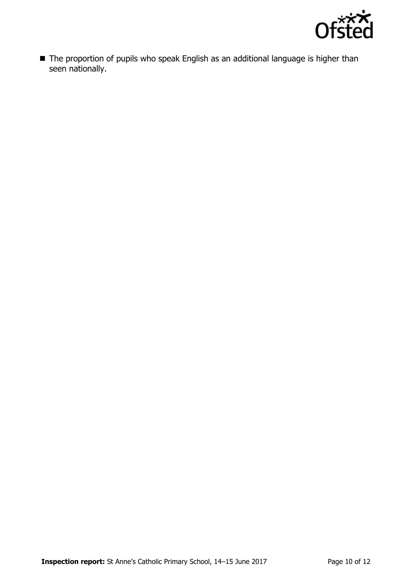

■ The proportion of pupils who speak English as an additional language is higher than seen nationally.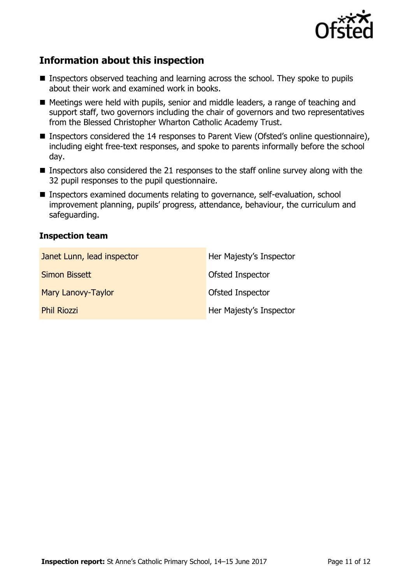

# **Information about this inspection**

- **Inspectors observed teaching and learning across the school. They spoke to pupils** about their work and examined work in books.
- Meetings were held with pupils, senior and middle leaders, a range of teaching and support staff, two governors including the chair of governors and two representatives from the Blessed Christopher Wharton Catholic Academy Trust.
- Inspectors considered the 14 responses to Parent View (Ofsted's online questionnaire), including eight free-text responses, and spoke to parents informally before the school day.
- **Inspectors also considered the 21 responses to the staff online survey along with the** 32 pupil responses to the pupil questionnaire.
- Inspectors examined documents relating to governance, self-evaluation, school improvement planning, pupils' progress, attendance, behaviour, the curriculum and safeguarding.

#### **Inspection team**

| Janet Lunn, lead inspector | Her Majesty's Inspector |
|----------------------------|-------------------------|
| Simon Bissett              | Ofsted Inspector        |
| Mary Lanovy-Taylor         | Ofsted Inspector        |
| <b>Phil Riozzi</b>         | Her Majesty's Inspector |